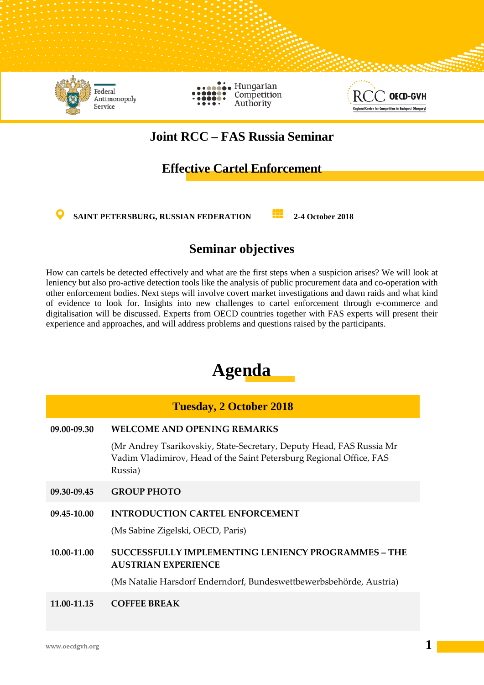

# **Joint RCC – FAS Russia Seminar**

## **Effective Cartel Enforcement**

**SAINT PETERSBURG, RUSSIAN FEDERATION 2-4 October 2018** 

## **Seminar objectives**

How can cartels be detected effectively and what are the first steps when a suspicion arises? We will look at leniency but also pro-active detection tools like the analysis of public procurement data and co-operation with other enforcement bodies. Next steps will involve covert market investigations and dawn raids and what kind of evidence to look for. Insights into new challenges to cartel enforcement through e-commerce and digitalisation will be discussed. Experts from OECD countries together with FAS experts will present their experience and approaches, and will address problems and questions raised by the participants.

# **Agenda**

### **Tuesday, 2 October 2018**

**09.00-09.30 WELCOME AND OPENING REMARKS**

(Mr Andrey Tsarikovskiy, State-Secretary, Deputy Head, FAS Russia Mr Vadim Vladimirov, Head of the Saint Petersburg Regional Office, FAS Russia)

**09.30-09.45 GROUP PHOTO** 

## **09.45-10.00 INTRODUCTION CARTEL ENFORCEMENT**

(Ms Sabine Zigelski, OECD, Paris)

**10.00-11.00 SUCCESSFULLY IMPLEMENTING LENIENCY PROGRAMMES – THE AUSTRIAN EXPERIENCE**

(Ms Natalie Harsdorf Enderndorf, Bundeswettbewerbsbehörde, Austria)

**11.00-11.15 COFFEE BREAK**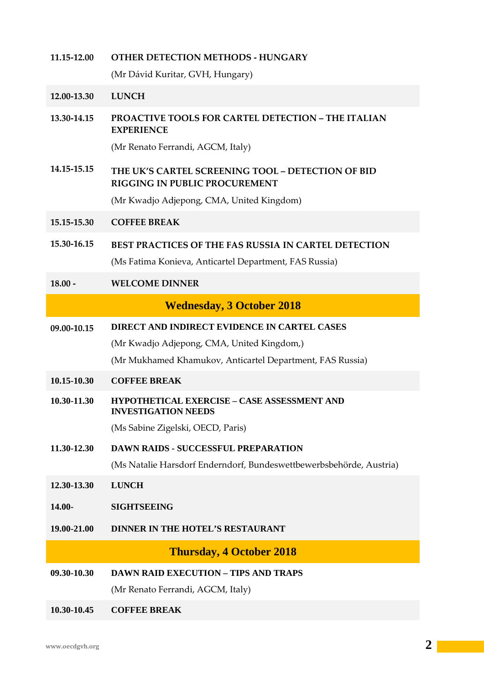| 11.15-12.00 | <b>OTHER DETECTION METHODS - HUNGARY</b>                                                                       |
|-------------|----------------------------------------------------------------------------------------------------------------|
|             | (Mr Dávid Kuritar, GVH, Hungary)                                                                               |
| 12.00-13.30 | <b>LUNCH</b>                                                                                                   |
| 13.30-14.15 | <b>PROACTIVE TOOLS FOR CARTEL DETECTION - THE ITALIAN</b><br><b>EXPERIENCE</b>                                 |
|             | (Mr Renato Ferrandi, AGCM, Italy)                                                                              |
| 14.15-15.15 | THE UK'S CARTEL SCREENING TOOL - DETECTION OF BID<br>RIGGING IN PUBLIC PROCUREMENT                             |
|             | (Mr Kwadjo Adjepong, CMA, United Kingdom)                                                                      |
| 15.15-15.30 | <b>COFFEE BREAK</b>                                                                                            |
| 15.30-16.15 | BEST PRACTICES OF THE FAS RUSSIA IN CARTEL DETECTION<br>(Ms Fatima Konieva, Anticartel Department, FAS Russia) |
| $18.00 -$   | <b>WELCOME DINNER</b>                                                                                          |
|             | <b>Wednesday, 3 October 2018</b>                                                                               |
| 09.00-10.15 | DIRECT AND INDIRECT EVIDENCE IN CARTEL CASES                                                                   |
|             |                                                                                                                |
|             | (Mr Kwadjo Adjepong, CMA, United Kingdom,)                                                                     |
|             | (Mr Mukhamed Khamukov, Anticartel Department, FAS Russia)                                                      |
| 10.15-10.30 | <b>COFFEE BREAK</b>                                                                                            |
| 10.30-11.30 | <b>HYPOTHETICAL EXERCISE - CASE ASSESSMENT AND</b><br><b>INVESTIGATION NEEDS</b>                               |
|             | (Ms Sabine Zigelski, OECD, Paris)                                                                              |
| 11.30-12.30 | <b>DAWN RAIDS - SUCCESSFUL PREPARATION</b>                                                                     |
|             | (Ms Natalie Harsdorf Enderndorf, Bundeswettbewerbsbehörde, Austria)                                            |
| 12.30-13.30 | <b>LUNCH</b>                                                                                                   |
| 14.00-      | <b>SIGHTSEEING</b>                                                                                             |
| 19.00-21.00 | DINNER IN THE HOTEL'S RESTAURANT                                                                               |
|             | <b>Thursday, 4 October 2018</b>                                                                                |
| 09.30-10.30 | <b>DAWN RAID EXECUTION - TIPS AND TRAPS</b>                                                                    |
|             | (Mr Renato Ferrandi, AGCM, Italy)                                                                              |